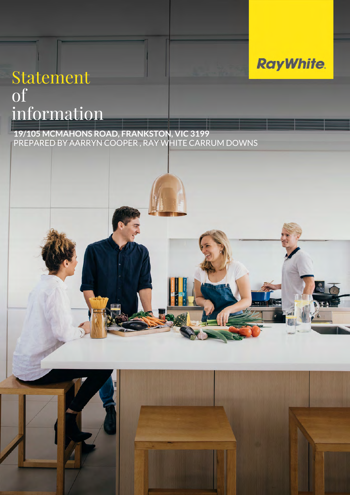# Statement of information

**19/105 MCMAHONS ROAD, FRANKSTON, VIC 3199** PREPARED BY AARRYN COOPER , RAY WHITE CARRUM DOWNS

## **RayWhite.**